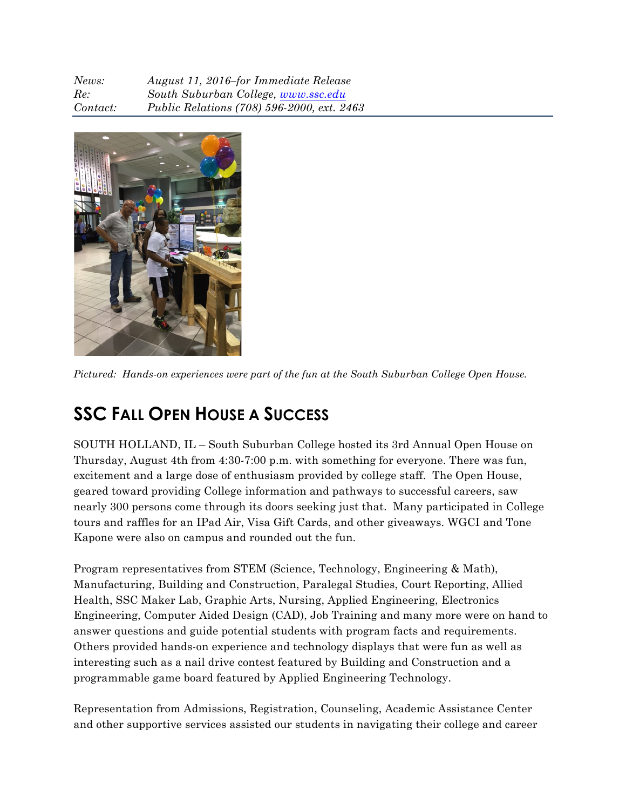| News:    | August 11, 2016–for Immediate Release             |
|----------|---------------------------------------------------|
| Re:      | South Suburban College, www.ssc.edu               |
| Contact: | <i>Public Relations (708) 596-2000, ext. 2463</i> |



*Pictured: Hands-on experiences were part of the fun at the South Suburban College Open House.*

## **SSC FALL OPEN HOUSE A SUCCESS**

SOUTH HOLLAND, IL – South Suburban College hosted its 3rd Annual Open House on Thursday, August 4th from 4:30-7:00 p.m. with something for everyone. There was fun, excitement and a large dose of enthusiasm provided by college staff. The Open House, geared toward providing College information and pathways to successful careers, saw nearly 300 persons come through its doors seeking just that. Many participated in College tours and raffles for an IPad Air, Visa Gift Cards, and other giveaways. WGCI and Tone Kapone were also on campus and rounded out the fun.

Program representatives from STEM (Science, Technology, Engineering & Math), Manufacturing, Building and Construction, Paralegal Studies, Court Reporting, Allied Health, SSC Maker Lab, Graphic Arts, Nursing, Applied Engineering, Electronics Engineering, Computer Aided Design (CAD), Job Training and many more were on hand to answer questions and guide potential students with program facts and requirements. Others provided hands-on experience and technology displays that were fun as well as interesting such as a nail drive contest featured by Building and Construction and a programmable game board featured by Applied Engineering Technology.

Representation from Admissions, Registration, Counseling, Academic Assistance Center and other supportive services assisted our students in navigating their college and career